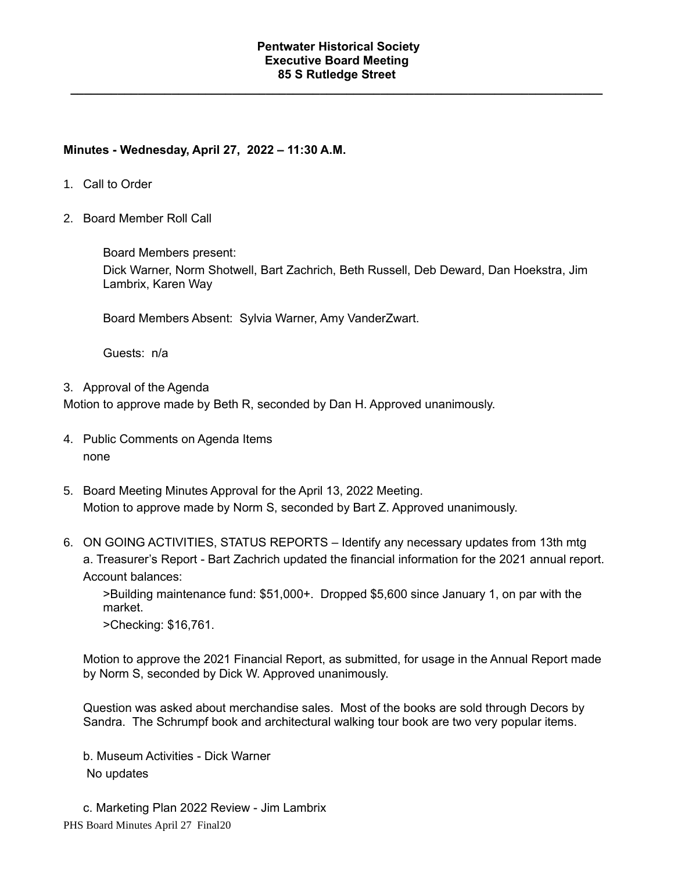### **Pentwater Historical Society Executive Board Meeting 85 S Rutledge Street**

**\_\_\_\_\_\_\_\_\_\_\_\_\_\_\_\_\_\_\_\_\_\_\_\_\_\_\_\_\_\_\_\_\_\_\_\_\_\_\_\_\_\_\_\_\_\_\_\_\_\_\_\_\_\_\_\_\_\_\_\_\_\_\_\_\_\_\_\_\_\_\_\_\_\_\_\_\_\_\_**

# **Minutes - Wednesday, April 27, 2022 – 11:30 A.M.**

- 1. Call to Order
- 2. Board Member Roll Call

Board Members present:

Dick Warner, Norm Shotwell, Bart Zachrich, Beth Russell, Deb Deward, Dan Hoekstra, Jim Lambrix, Karen Way

Board Members Absent: Sylvia Warner, Amy VanderZwart.

Guests: n/a

3. Approval of the Agenda

Motion to approve made by Beth R, seconded by Dan H. Approved unanimously.

- 4. Public Comments on Agenda Items none
- 5. Board Meeting Minutes Approval for the April 13, 2022 Meeting. Motion to approve made by Norm S, seconded by Bart Z. Approved unanimously.
- 6. ON GOING ACTIVITIES, STATUS REPORTS Identify any necessary updates from 13th mtg a. Treasurer's Report - Bart Zachrich updated the financial information for the 2021 annual report. Account balances:

>Building maintenance fund: \$51,000+. Dropped \$5,600 since January 1, on par with the market.

>Checking: \$16,761.

Motion to approve the 2021 Financial Report, as submitted, for usage in the Annual Report made by Norm S, seconded by Dick W. Approved unanimously.

Question was asked about merchandise sales. Most of the books are sold through Decors by Sandra. The Schrumpf book and architectural walking tour book are two very popular items.

b. Museum Activities - Dick Warner No updates

PHS Board Minutes April 27 Final20 c. Marketing Plan 2022 Review - Jim Lambrix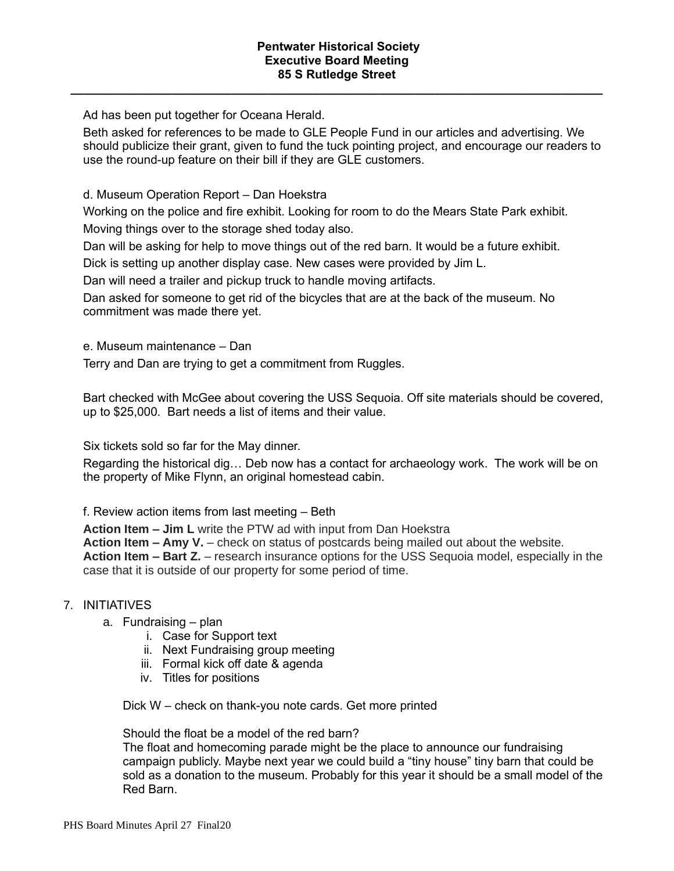**\_\_\_\_\_\_\_\_\_\_\_\_\_\_\_\_\_\_\_\_\_\_\_\_\_\_\_\_\_\_\_\_\_\_\_\_\_\_\_\_\_\_\_\_\_\_\_\_\_\_\_\_\_\_\_\_\_\_\_\_\_\_\_\_\_\_\_\_\_\_\_\_\_\_\_\_\_\_\_**

Ad has been put together for Oceana Herald.

Beth asked for references to be made to GLE People Fund in our articles and advertising. We should publicize their grant, given to fund the tuck pointing project, and encourage our readers to use the round-up feature on their bill if they are GLE customers.

d. Museum Operation Report – Dan Hoekstra

Working on the police and fire exhibit. Looking for room to do the Mears State Park exhibit. Moving things over to the storage shed today also.

Dan will be asking for help to move things out of the red barn. It would be a future exhibit.

Dick is setting up another display case. New cases were provided by Jim L.

Dan will need a trailer and pickup truck to handle moving artifacts.

Dan asked for someone to get rid of the bicycles that are at the back of the museum. No commitment was made there yet.

e. Museum maintenance – Dan

Terry and Dan are trying to get a commitment from Ruggles.

Bart checked with McGee about covering the USS Sequoia. Off site materials should be covered, up to \$25,000. Bart needs a list of items and their value.

Six tickets sold so far for the May dinner.

Regarding the historical dig… Deb now has a contact for archaeology work. The work will be on the property of Mike Flynn, an original homestead cabin.

f. Review action items from last meeting – Beth

**Action Item – Jim L** write the PTW ad with input from Dan Hoekstra **Action Item – Amy V.** – check on status of postcards being mailed out about the website. **Action Item – Bart Z.** – research insurance options for the USS Sequoia model, especially in the case that it is outside of our property for some period of time.

# 7. INITIATIVES

- a. Fundraising plan
	- i. Case for Support text
	- ii. Next Fundraising group meeting
	- iii. Formal kick off date & agenda
	- iv. Titles for positions

Dick W – check on thank-you note cards. Get more printed

Should the float be a model of the red barn?

The float and homecoming parade might be the place to announce our fundraising campaign publicly. Maybe next year we could build a "tiny house" tiny barn that could be sold as a donation to the museum. Probably for this year it should be a small model of the Red Barn.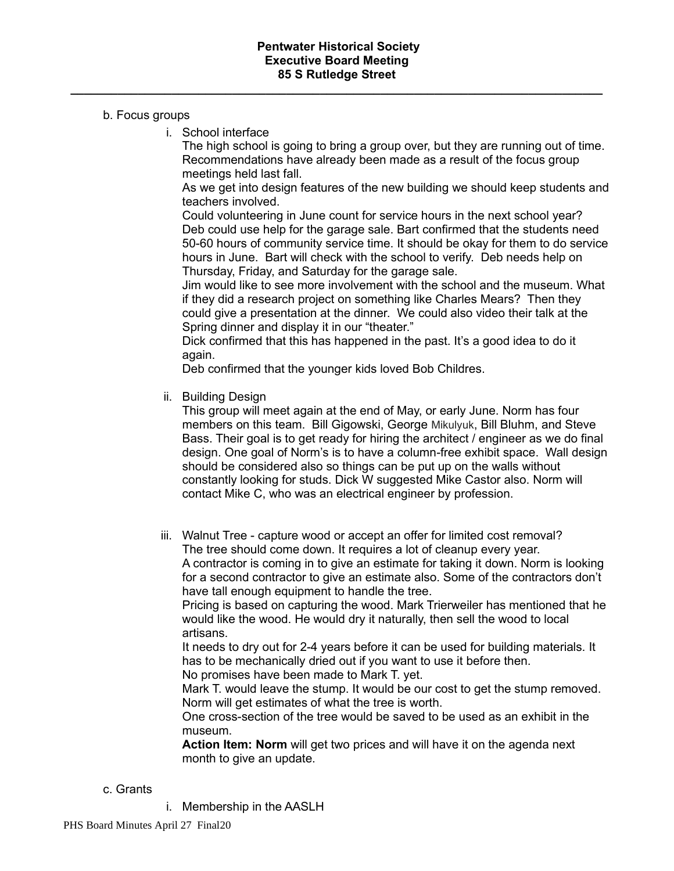**\_\_\_\_\_\_\_\_\_\_\_\_\_\_\_\_\_\_\_\_\_\_\_\_\_\_\_\_\_\_\_\_\_\_\_\_\_\_\_\_\_\_\_\_\_\_\_\_\_\_\_\_\_\_\_\_\_\_\_\_\_\_\_\_\_\_\_\_\_\_\_\_\_\_\_\_\_\_\_**

## b. Focus groups

i. School interface

The high school is going to bring a group over, but they are running out of time. Recommendations have already been made as a result of the focus group meetings held last fall.

As we get into design features of the new building we should keep students and teachers involved.

Could volunteering in June count for service hours in the next school year? Deb could use help for the garage sale. Bart confirmed that the students need 50-60 hours of community service time. It should be okay for them to do service hours in June. Bart will check with the school to verify. Deb needs help on Thursday, Friday, and Saturday for the garage sale.

Jim would like to see more involvement with the school and the museum. What if they did a research project on something like Charles Mears? Then they could give a presentation at the dinner. We could also video their talk at the Spring dinner and display it in our "theater."

Dick confirmed that this has happened in the past. It's a good idea to do it again.

Deb confirmed that the younger kids loved Bob Childres.

ii. Building Design

This group will meet again at the end of May, or early June. Norm has four members on this team. Bill Gigowski, George Mikulyuk, Bill Bluhm, and Steve Bass. Their goal is to get ready for hiring the architect / engineer as we do final design. One goal of Norm's is to have a column-free exhibit space. Wall design should be considered also so things can be put up on the walls without constantly looking for studs. Dick W suggested Mike Castor also. Norm will contact Mike C, who was an electrical engineer by profession.

iii. Walnut Tree - capture wood or accept an offer for limited cost removal? The tree should come down. It requires a lot of cleanup every year. A contractor is coming in to give an estimate for taking it down. Norm is looking for a second contractor to give an estimate also. Some of the contractors don't have tall enough equipment to handle the tree.

Pricing is based on capturing the wood. Mark Trierweiler has mentioned that he would like the wood. He would dry it naturally, then sell the wood to local artisans.

It needs to dry out for 2-4 years before it can be used for building materials. It has to be mechanically dried out if you want to use it before then.

No promises have been made to Mark T. yet.

Mark T. would leave the stump. It would be our cost to get the stump removed. Norm will get estimates of what the tree is worth.

One cross-section of the tree would be saved to be used as an exhibit in the museum.

**Action Item: Norm** will get two prices and will have it on the agenda next month to give an update.

## c. Grants

i. Membership in the AASLH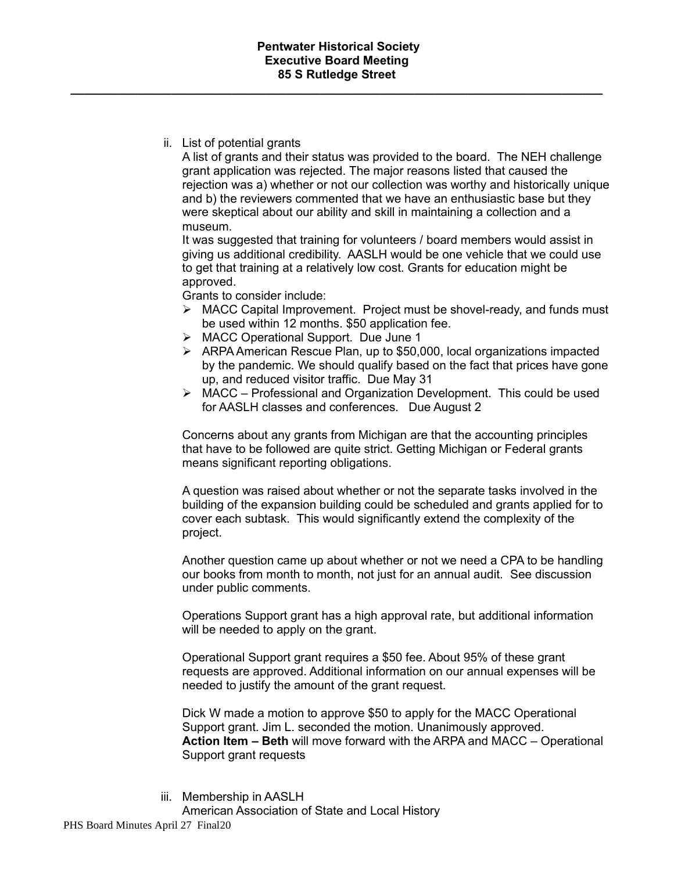**\_\_\_\_\_\_\_\_\_\_\_\_\_\_\_\_\_\_\_\_\_\_\_\_\_\_\_\_\_\_\_\_\_\_\_\_\_\_\_\_\_\_\_\_\_\_\_\_\_\_\_\_\_\_\_\_\_\_\_\_\_\_\_\_\_\_\_\_\_\_\_\_\_\_\_\_\_\_\_**

ii. List of potential grants

A list of grants and their status was provided to the board. The NEH challenge grant application was rejected. The major reasons listed that caused the rejection was a) whether or not our collection was worthy and historically unique and b) the reviewers commented that we have an enthusiastic base but they were skeptical about our ability and skill in maintaining a collection and a museum.

It was suggested that training for volunteers / board members would assist in giving us additional credibility. AASLH would be one vehicle that we could use to get that training at a relatively low cost. Grants for education might be approved.

Grants to consider include:

- ➢ MACC Capital Improvement. Project must be shovel-ready, and funds must be used within 12 months. \$50 application fee.
- ➢ MACC Operational Support. Due June 1
- $\triangleright$  ARPA American Rescue Plan, up to \$50,000, local organizations impacted by the pandemic. We should qualify based on the fact that prices have gone up, and reduced visitor traffic. Due May 31
- ➢ MACC Professional and Organization Development. This could be used for AASLH classes and conferences. Due August 2

Concerns about any grants from Michigan are that the accounting principles that have to be followed are quite strict. Getting Michigan or Federal grants means significant reporting obligations.

A question was raised about whether or not the separate tasks involved in the building of the expansion building could be scheduled and grants applied for to cover each subtask. This would significantly extend the complexity of the project.

Another question came up about whether or not we need a CPA to be handling our books from month to month, not just for an annual audit. See discussion under public comments.

Operations Support grant has a high approval rate, but additional information will be needed to apply on the grant.

Operational Support grant requires a \$50 fee. About 95% of these grant requests are approved. Additional information on our annual expenses will be needed to justify the amount of the grant request.

Dick W made a motion to approve \$50 to apply for the MACC Operational Support grant. Jim L. seconded the motion. Unanimously approved. **Action Item – Beth** will move forward with the ARPA and MACC – Operational Support grant requests

iii. Membership in AASLH American Association of State and Local History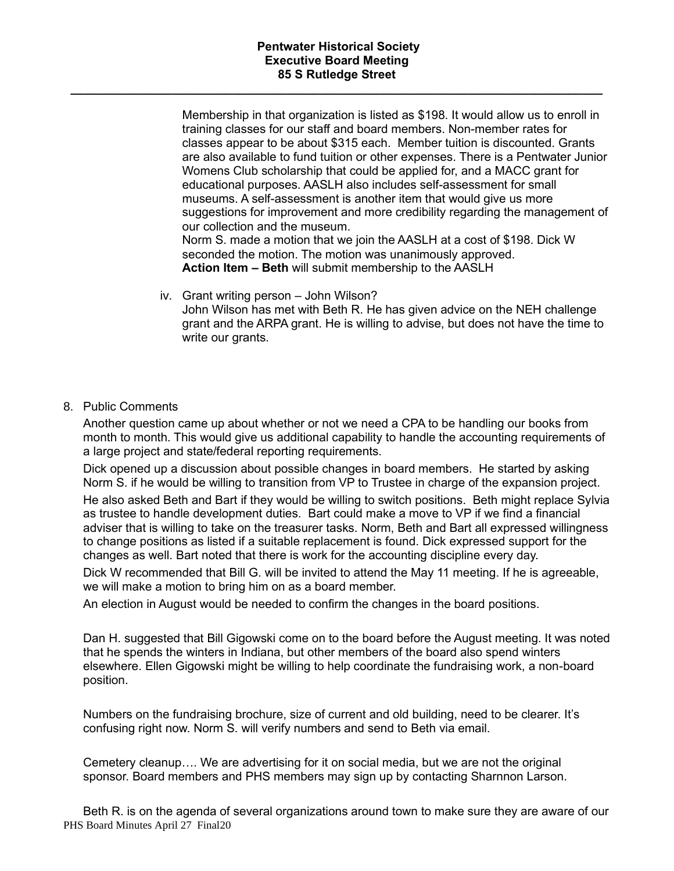## **Pentwater Historical Society Executive Board Meeting 85 S Rutledge Street**

**\_\_\_\_\_\_\_\_\_\_\_\_\_\_\_\_\_\_\_\_\_\_\_\_\_\_\_\_\_\_\_\_\_\_\_\_\_\_\_\_\_\_\_\_\_\_\_\_\_\_\_\_\_\_\_\_\_\_\_\_\_\_\_\_\_\_\_\_\_\_\_\_\_\_\_\_\_\_\_**

Membership in that organization is listed as \$198. It would allow us to enroll in training classes for our staff and board members. Non-member rates for classes appear to be about \$315 each. Member tuition is discounted. Grants are also available to fund tuition or other expenses. There is a Pentwater Junior Womens Club scholarship that could be applied for, and a MACC grant for educational purposes. AASLH also includes self-assessment for small museums. A self-assessment is another item that would give us more suggestions for improvement and more credibility regarding the management of our collection and the museum. Norm S. made a motion that we join the AASLH at a cost of \$198. Dick W seconded the motion. The motion was unanimously approved. **Action Item – Beth** will submit membership to the AASLH

- iv. Grant writing person John Wilson? John Wilson has met with Beth R. He has given advice on the NEH challenge grant and the ARPA grant. He is willing to advise, but does not have the time to write our grants.
- 8. Public Comments

Another question came up about whether or not we need a CPA to be handling our books from month to month. This would give us additional capability to handle the accounting requirements of a large project and state/federal reporting requirements.

Dick opened up a discussion about possible changes in board members. He started by asking Norm S. if he would be willing to transition from VP to Trustee in charge of the expansion project.

He also asked Beth and Bart if they would be willing to switch positions. Beth might replace Sylvia as trustee to handle development duties. Bart could make a move to VP if we find a financial adviser that is willing to take on the treasurer tasks. Norm, Beth and Bart all expressed willingness to change positions as listed if a suitable replacement is found. Dick expressed support for the changes as well. Bart noted that there is work for the accounting discipline every day.

Dick W recommended that Bill G. will be invited to attend the May 11 meeting. If he is agreeable, we will make a motion to bring him on as a board member.

An election in August would be needed to confirm the changes in the board positions.

Dan H. suggested that Bill Gigowski come on to the board before the August meeting. It was noted that he spends the winters in Indiana, but other members of the board also spend winters elsewhere. Ellen Gigowski might be willing to help coordinate the fundraising work, a non-board position.

Numbers on the fundraising brochure, size of current and old building, need to be clearer. It's confusing right now. Norm S. will verify numbers and send to Beth via email.

Cemetery cleanup…. We are advertising for it on social media, but we are not the original sponsor. Board members and PHS members may sign up by contacting Sharnnon Larson.

PHS Board Minutes April 27 Final20 Beth R. is on the agenda of several organizations around town to make sure they are aware of our